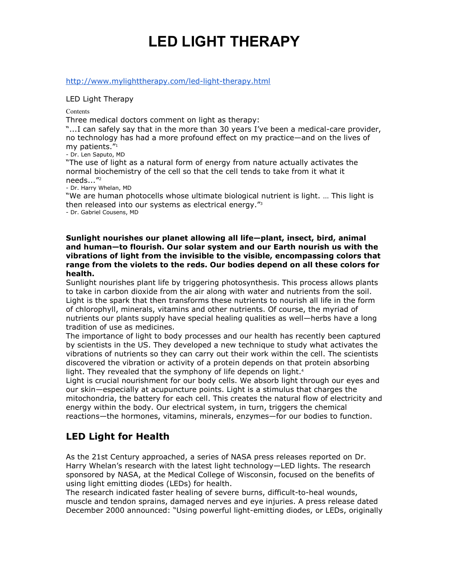# **LED LIGHT THERAPY**

http://www.mylighttherapy.com/led-light-therapy.html

LED Light Therapy

**Contents** 

Three medical doctors comment on light as therapy:

"...I can safely say that in the more than 30 years I've been a medical-care provider, no technology has had a more profound effect on my practice—and on the lives of my patients."<sup>1</sup>

- Dr. Len Saputo, MD

"The use of light as a natural form of energy from nature actually activates the normal biochemistry of the cell so that the cell tends to take from it what it needs..."<sup>2</sup>

- Dr. Harry Whelan, MD

"We are human photocells whose ultimate biological nutrient is light. … This light is then released into our systems as electrical energy."<sup>3</sup>

- Dr. Gabriel Cousens, MD

**Sunlight nourishes our planet allowing all life—plant, insect, bird, animal and human—to flourish. Our solar system and our Earth nourish us with the vibrations of light from the invisible to the visible, encompassing colors that range from the violets to the reds. Our bodies depend on all these colors for health.**

Sunlight nourishes plant life by triggering photosynthesis. This process allows plants to take in carbon dioxide from the air along with water and nutrients from the soil. Light is the spark that then transforms these nutrients to nourish all life in the form of chlorophyll, minerals, vitamins and other nutrients. Of course, the myriad of nutrients our plants supply have special healing qualities as well—herbs have a long tradition of use as medicines.

The importance of light to body processes and our health has recently been captured by scientists in the US. They developed a new technique to study what activates the vibrations of nutrients so they can carry out their work within the cell. The scientists discovered the vibration or activity of a protein depends on that protein absorbing light. They revealed that the symphony of life depends on light.<sup>4</sup>

Light is crucial nourishment for our body cells. We absorb light through our eyes and our skin—especially at acupuncture points. Light is a stimulus that charges the mitochondria, the battery for each cell. This creates the natural flow of electricity and energy within the body. Our electrical system, in turn, triggers the chemical reactions—the hormones, vitamins, minerals, enzymes—for our bodies to function.

# **LED Light for Health**

As the 21st Century approached, a series of NASA press releases reported on Dr. Harry Whelan's research with the latest light technology—LED lights. The research sponsored by NASA, at the Medical College of Wisconsin, focused on the benefits of using light emitting diodes (LEDs) for health.

The research indicated faster healing of severe burns, difficult-to-heal wounds, muscle and tendon sprains, damaged nerves and eye injuries. A press release dated December 2000 announced: "Using powerful light-emitting diodes, or LEDs, originally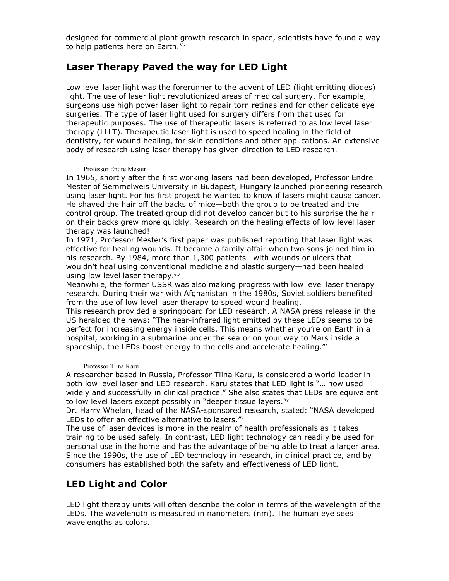designed for commercial plant growth research in space, scientists have found a way to help patients here on Earth."<sup>5</sup>

#### **Laser Therapy Paved the way for LED Light**

Low level laser light was the forerunner to the advent of LED (light emitting diodes) light. The use of laser light revolutionized areas of medical surgery. For example, surgeons use high power laser light to repair torn retinas and for other delicate eye surgeries. The type of laser light used for surgery differs from that used for therapeutic purposes. The use of therapeutic lasers is referred to as low level laser therapy (LLLT). Therapeutic laser light is used to speed healing in the field of dentistry, for wound healing, for skin conditions and other applications. An extensive body of research using laser therapy has given direction to LED research.

#### Professor Endre Mester

In 1965, shortly after the first working lasers had been developed, Professor Endre Mester of Semmelweis University in Budapest, Hungary launched pioneering research using laser light. For his first project he wanted to know if lasers might cause cancer. He shaved the hair off the backs of mice—both the group to be treated and the control group. The treated group did not develop cancer but to his surprise the hair on their backs grew more quickly. Research on the healing effects of low level laser therapy was launched!

In 1971, Professor Mester's first paper was published reporting that laser light was effective for healing wounds. It became a family affair when two sons joined him in his research. By 1984, more than 1,300 patients—with wounds or ulcers that wouldn't heal using conventional medicine and plastic surgery—had been healed using low level laser therapy.<sup>6,7</sup>

Meanwhile, the former USSR was also making progress with low level laser therapy research. During their war with Afghanistan in the 1980s, Soviet soldiers benefited from the use of low level laser therapy to speed wound healing.

This research provided a springboard for LED research. A NASA press release in the US heralded the news: "The near-infrared light emitted by these LEDs seems to be perfect for increasing energy inside cells. This means whether you're on Earth in a hospital, working in a submarine under the sea or on your way to Mars inside a spaceship, the LEDs boost energy to the cells and accelerate healing."<sup>5</sup>

#### Professor Tiina Karu

A researcher based in Russia, Professor Tiina Karu, is considered a world-leader in both low level laser and LED research. Karu states that LED light is "… now used widely and successfully in clinical practice." She also states that LEDs are equivalent to low level lasers except possibly in "deeper tissue layers."<sup>8</sup>

Dr. Harry Whelan, head of the NASA-sponsored research, stated: "NASA developed LEDs to offer an effective alternative to lasers."<sup>9</sup>

The use of laser devices is more in the realm of health professionals as it takes training to be used safely. In contrast, LED light technology can readily be used for personal use in the home and has the advantage of being able to treat a larger area. Since the 1990s, the use of LED technology in research, in clinical practice, and by consumers has established both the safety and effectiveness of LED light.

# **LED Light and Color**

LED light therapy units will often describe the color in terms of the wavelength of the LEDs. The wavelength is measured in nanometers (nm). The human eye sees wavelengths as colors.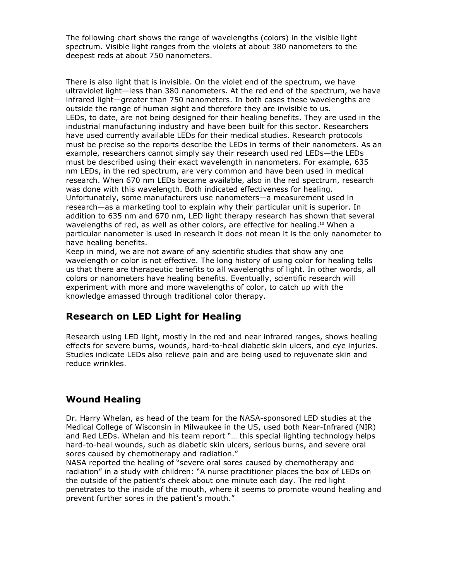The following chart shows the range of wavelengths (colors) in the visible light spectrum. Visible light ranges from the violets at about 380 nanometers to the deepest reds at about 750 nanometers.

There is also light that is invisible. On the violet end of the spectrum, we have ultraviolet light—less than 380 nanometers. At the red end of the spectrum, we have infrared light—greater than 750 nanometers. In both cases these wavelengths are outside the range of human sight and therefore they are invisible to us. LEDs, to date, are not being designed for their healing benefits. They are used in the industrial manufacturing industry and have been built for this sector. Researchers have used currently available LEDs for their medical studies. Research protocols must be precise so the reports describe the LEDs in terms of their nanometers. As an example, researchers cannot simply say their research used red LEDs—the LEDs must be described using their exact wavelength in nanometers. For example, 635 nm LEDs, in the red spectrum, are very common and have been used in medical research. When 670 nm LEDs became available, also in the red spectrum, research was done with this wavelength. Both indicated effectiveness for healing. Unfortunately, some manufacturers use nanometers—a measurement used in research—as a marketing tool to explain why their particular unit is superior. In addition to 635 nm and 670 nm, LED light therapy research has shown that several wavelengths of red, as well as other colors, are effective for healing.<sup>10</sup> When a particular nanometer is used in research it does not mean it is the only nanometer to have healing benefits.

Keep in mind, we are not aware of any scientific studies that show any one wavelength or color is not effective. The long history of using color for healing tells us that there are therapeutic benefits to all wavelengths of light. In other words, all colors or nanometers have healing benefits. Eventually, scientific research will experiment with more and more wavelengths of color, to catch up with the knowledge amassed through traditional color therapy.

# **Research on LED Light for Healing**

Research using LED light, mostly in the red and near infrared ranges, shows healing effects for severe burns, wounds, hard-to-heal diabetic skin ulcers, and eye injuries. Studies indicate LEDs also relieve pain and are being used to rejuvenate skin and reduce wrinkles.

# **Wound Healing**

Dr. Harry Whelan, as head of the team for the NASA-sponsored LED studies at the Medical College of Wisconsin in Milwaukee in the US, used both Near-Infrared (NIR) and Red LEDs. Whelan and his team report "… this special lighting technology helps hard-to-heal wounds, such as diabetic skin ulcers, serious burns, and severe oral sores caused by chemotherapy and radiation."

NASA reported the healing of "severe oral sores caused by chemotherapy and radiation" in a study with children: "A nurse practitioner places the box of LEDs on the outside of the patient's cheek about one minute each day. The red light penetrates to the inside of the mouth, where it seems to promote wound healing and prevent further sores in the patient's mouth."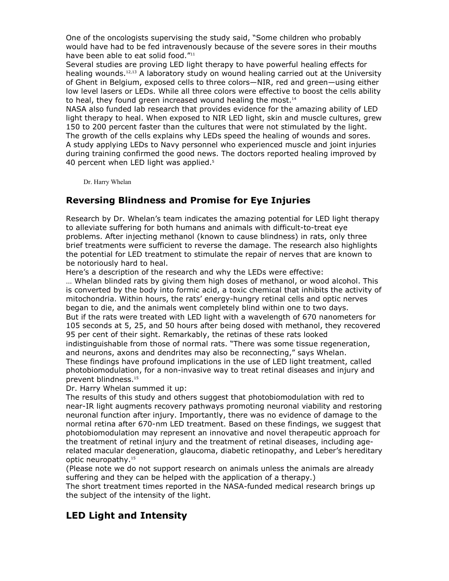One of the oncologists supervising the study said, "Some children who probably would have had to be fed intravenously because of the severe sores in their mouths have been able to eat solid food."<sup>11</sup>

Several studies are proving LED light therapy to have powerful healing effects for healing wounds.12,13 A laboratory study on wound healing carried out at the University of Ghent in Belgium, exposed cells to three colors—NIR, red and green—using either low level lasers or LEDs. While all three colors were effective to boost the cells ability to heal, they found green increased wound healing the most. $14$ 

NASA also funded lab research that provides evidence for the amazing ability of LED light therapy to heal. When exposed to NIR LED light, skin and muscle cultures, grew 150 to 200 percent faster than the cultures that were not stimulated by the light. The growth of the cells explains why LEDs speed the healing of wounds and sores. A study applying LEDs to Navy personnel who experienced muscle and joint injuries during training confirmed the good news. The doctors reported healing improved by 40 percent when LED light was applied.<sup>5</sup>

Dr. Harry Whelan

### **Reversing Blindness and Promise for Eye Injuries**

Research by Dr. Whelan's team indicates the amazing potential for LED light therapy to alleviate suffering for both humans and animals with difficult-to-treat eye problems. After injecting methanol (known to cause blindness) in rats, only three brief treatments were sufficient to reverse the damage. The research also highlights the potential for LED treatment to stimulate the repair of nerves that are known to be notoriously hard to heal.

Here's a description of the research and why the LEDs were effective:

… Whelan blinded rats by giving them high doses of methanol, or wood alcohol. This is converted by the body into formic acid, a toxic chemical that inhibits the activity of mitochondria. Within hours, the rats' energy-hungry retinal cells and optic nerves began to die, and the animals went completely blind within one to two days. But if the rats were treated with LED light with a wavelength of 670 nanometers for 105 seconds at 5, 25, and 50 hours after being dosed with methanol, they recovered 95 per cent of their sight. Remarkably, the retinas of these rats looked indistinguishable from those of normal rats. "There was some tissue regeneration, and neurons, axons and dendrites may also be reconnecting," says Whelan. These findings have profound implications in the use of LED light treatment, called photobiomodulation, for a non-invasive way to treat retinal diseases and injury and

prevent blindness.<sup>15</sup>

Dr. Harry Whelan summed it up:

The results of this study and others suggest that photobiomodulation with red to near-IR light augments recovery pathways promoting neuronal viability and restoring neuronal function after injury. Importantly, there was no evidence of damage to the normal retina after 670-nm LED treatment. Based on these findings, we suggest that photobiomodulation may represent an innovative and novel therapeutic approach for the treatment of retinal injury and the treatment of retinal diseases, including agerelated macular degeneration, glaucoma, diabetic retinopathy, and Leber's hereditary optic neuropathy.<sup>15</sup>

(Please note we do not support research on animals unless the animals are already suffering and they can be helped with the application of a therapy.)

The short treatment times reported in the NASA-funded medical research brings up the subject of the intensity of the light.

# **LED Light and Intensity**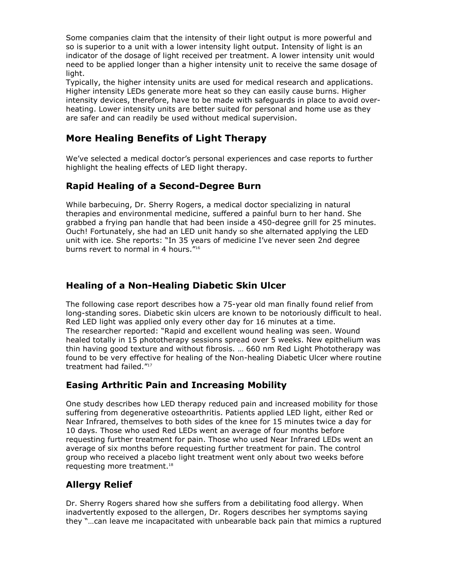Some companies claim that the intensity of their light output is more powerful and so is superior to a unit with a lower intensity light output. Intensity of light is an indicator of the dosage of light received per treatment. A lower intensity unit would need to be applied longer than a higher intensity unit to receive the same dosage of light.

Typically, the higher intensity units are used for medical research and applications. Higher intensity LEDs generate more heat so they can easily cause burns. Higher intensity devices, therefore, have to be made with safeguards in place to avoid overheating. Lower intensity units are better suited for personal and home use as they are safer and can readily be used without medical supervision.

# **More Healing Benefits of Light Therapy**

We've selected a medical doctor's personal experiences and case reports to further highlight the healing effects of LED light therapy.

### **Rapid Healing of a Second-Degree Burn**

While barbecuing, Dr. Sherry Rogers, a medical doctor specializing in natural therapies and environmental medicine, suffered a painful burn to her hand. She grabbed a frying pan handle that had been inside a 450-degree grill for 25 minutes. Ouch! Fortunately, she had an LED unit handy so she alternated applying the LED unit with ice. She reports: "In 35 years of medicine I've never seen 2nd degree burns revert to normal in 4 hours."<sup>16</sup>

## **Healing of a Non-Healing Diabetic Skin Ulcer**

The following case report describes how a 75-year old man finally found relief from long-standing sores. Diabetic skin ulcers are known to be notoriously difficult to heal. Red LED light was applied only every other day for 16 minutes at a time. The researcher reported: "Rapid and excellent wound healing was seen. Wound healed totally in 15 phototherapy sessions spread over 5 weeks. New epithelium was thin having good texture and without fibrosis. … 660 nm Red Light Phototherapy was found to be very effective for healing of the Non-healing Diabetic Ulcer where routine treatment had failed."<sup>17</sup>

#### **Easing Arthritic Pain and Increasing Mobility**

One study describes how LED therapy reduced pain and increased mobility for those suffering from degenerative osteoarthritis. Patients applied LED light, either Red or Near Infrared, themselves to both sides of the knee for 15 minutes twice a day for 10 days. Those who used Red LEDs went an average of four months before requesting further treatment for pain. Those who used Near Infrared LEDs went an average of six months before requesting further treatment for pain. The control group who received a placebo light treatment went only about two weeks before requesting more treatment.<sup>18</sup>

# **Allergy Relief**

Dr. Sherry Rogers shared how she suffers from a debilitating food allergy. When inadvertently exposed to the allergen, Dr. Rogers describes her symptoms saying they "…can leave me incapacitated with unbearable back pain that mimics a ruptured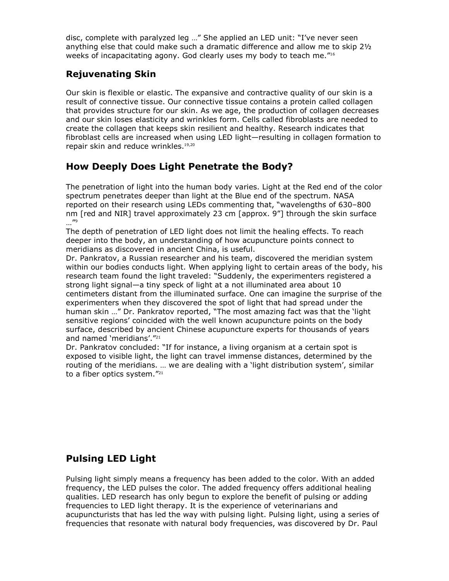disc, complete with paralyzed leg …" She applied an LED unit: "I've never seen anything else that could make such a dramatic difference and allow me to skip 2½ weeks of incapacitating agony. God clearly uses my body to teach me."<sup>16</sup>

### **Rejuvenating Skin**

Our skin is flexible or elastic. The expansive and contractive quality of our skin is a result of connective tissue. Our connective tissue contains a protein called collagen that provides structure for our skin. As we age, the production of collagen decreases and our skin loses elasticity and wrinkles form. Cells called fibroblasts are needed to create the collagen that keeps skin resilient and healthy. Research indicates that fibroblast cells are increased when using LED light—resulting in collagen formation to repair skin and reduce wrinkles.<sup>19,20</sup>

# **How Deeply Does Light Penetrate the Body?**

The penetration of light into the human body varies. Light at the Red end of the color spectrum penetrates deeper than light at the Blue end of the spectrum. NASA reported on their research using LEDs commenting that, "wavelengths of 630–800 nm [red and NIR] travel approximately 23 cm [approx. 9"] through the skin surface …"9

The depth of penetration of LED light does not limit the healing effects. To reach deeper into the body, an understanding of how acupuncture points connect to meridians as discovered in ancient China, is useful.

Dr. Pankratov, a Russian researcher and his team, discovered the meridian system within our bodies conducts light. When applying light to certain areas of the body, his research team found the light traveled: "Suddenly, the experimenters registered a strong light signal—a tiny speck of light at a not illuminated area about 10 centimeters distant from the illuminated surface. One can imagine the surprise of the experimenters when they discovered the spot of light that had spread under the human skin …" Dr. Pankratov reported, "The most amazing fact was that the 'light sensitive regions' coincided with the well known acupuncture points on the body surface, described by ancient Chinese acupuncture experts for thousands of years and named 'meridians'."<sup>21</sup>

Dr. Pankratov concluded: "If for instance, a living organism at a certain spot is exposed to visible light, the light can travel immense distances, determined by the routing of the meridians. … we are dealing with a 'light distribution system', similar to a fiber optics system."<sup>21</sup>

# **Pulsing LED Light**

Pulsing light simply means a frequency has been added to the color. With an added frequency, the LED pulses the color. The added frequency offers additional healing qualities. LED research has only begun to explore the benefit of pulsing or adding frequencies to LED light therapy. It is the experience of veterinarians and acupuncturists that has led the way with pulsing light. Pulsing light, using a series of frequencies that resonate with natural body frequencies, was discovered by Dr. Paul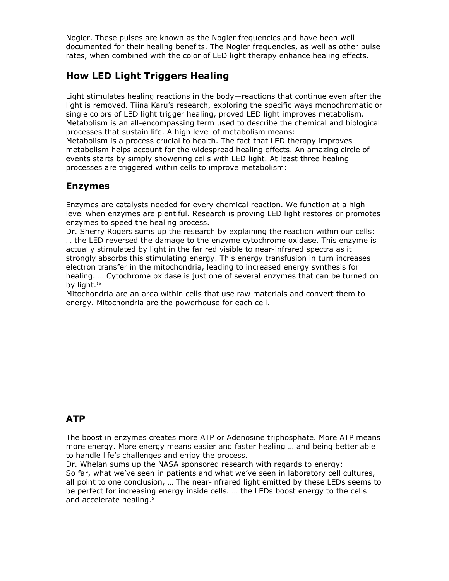Nogier. These pulses are known as the Nogier frequencies and have been well documented for their healing benefits. The Nogier frequencies, as well as other pulse rates, when combined with the color of LED light therapy enhance healing effects.

# **How LED Light Triggers Healing**

processes are triggered within cells to improve metabolism:

Light stimulates healing reactions in the body—reactions that continue even after the light is removed. Tiina Karu's research, exploring the specific ways monochromatic or single colors of LED light trigger healing, proved LED light improves metabolism. Metabolism is an all-encompassing term used to describe the chemical and biological processes that sustain life. A high level of metabolism means: Metabolism is a process crucial to health. The fact that LED therapy improves metabolism helps account for the widespread healing effects. An amazing circle of events starts by simply showering cells with LED light. At least three healing

#### **Enzymes**

Enzymes are catalysts needed for every chemical reaction. We function at a high level when enzymes are plentiful. Research is proving LED light restores or promotes enzymes to speed the healing process.

Dr. Sherry Rogers sums up the research by explaining the reaction within our cells: … the LED reversed the damage to the enzyme cytochrome oxidase. This enzyme is actually stimulated by light in the far red visible to near-infrared spectra as it strongly absorbs this stimulating energy. This energy transfusion in turn increases electron transfer in the mitochondria, leading to increased energy synthesis for healing. … Cytochrome oxidase is just one of several enzymes that can be turned on by light.<sup>16</sup>

Mitochondria are an area within cells that use raw materials and convert them to energy. Mitochondria are the powerhouse for each cell.

# **ATP**

The boost in enzymes creates more ATP or Adenosine triphosphate. More ATP means more energy. More energy means easier and faster healing … and being better able to handle life's challenges and enjoy the process.

Dr. Whelan sums up the NASA sponsored research with regards to energy: So far, what we've seen in patients and what we've seen in laboratory cell cultures, all point to one conclusion, … The near-infrared light emitted by these LEDs seems to be perfect for increasing energy inside cells. … the LEDs boost energy to the cells and accelerate healing.<sup>5</sup>